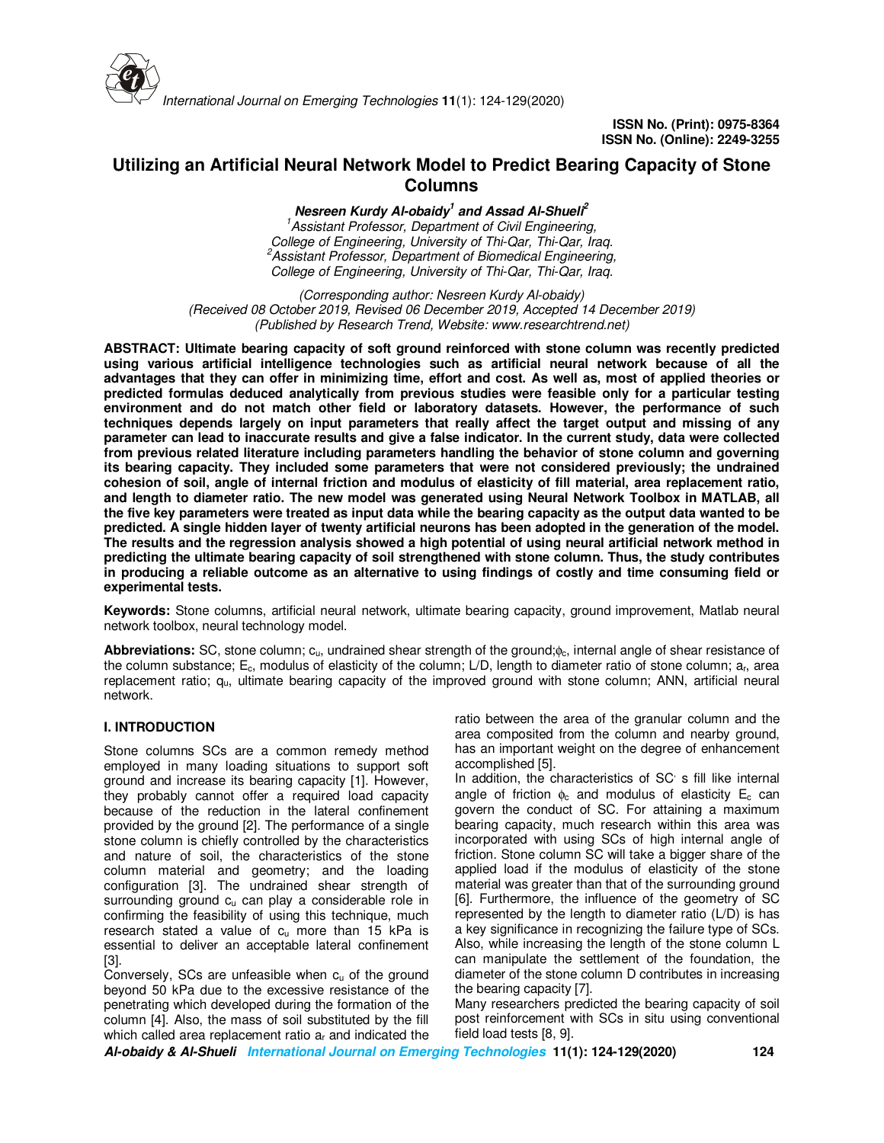

# **Utilizing an Artificial Neural Network Model to Predict Bearing Capacity of Stone Columns**

**Nesreen Kurdy Al-obaidy<sup>1</sup> and Assad Al-Shueli<sup>2</sup>** *<sup>1</sup>Assistant Professor, Department of Civil Engineering, College of Engineering, University of Thi-Qar, Thi-Qar, Iraq. <sup>2</sup>Assistant Professor, Department of Biomedical Engineering, College of Engineering, University of Thi-Qar, Thi-Qar, Iraq.* 

*(Corresponding author: Nesreen Kurdy Al-obaidy) (Received 08 October 2019, Revised 06 December 2019, Accepted 14 December 2019) (Published by Research Trend, Website: www.researchtrend.net)* 

**ABSTRACT: Ultimate bearing capacity of soft ground reinforced with stone column was recently predicted using various artificial intelligence technologies such as artificial neural network because of all the advantages that they can offer in minimizing time, effort and cost. As well as, most of applied theories or predicted formulas deduced analytically from previous studies were feasible only for a particular testing environment and do not match other field or laboratory datasets. However, the performance of such techniques depends largely on input parameters that really affect the target output and missing of any parameter can lead to inaccurate results and give a false indicator. In the current study, data were collected from previous related literature including parameters handling the behavior of stone column and governing its bearing capacity. They included some parameters that were not considered previously; the undrained cohesion of soil, angle of internal friction and modulus of elasticity of fill material, area replacement ratio, and length to diameter ratio. The new model was generated using Neural Network Toolbox in MATLAB, all the five key parameters were treated as input data while the bearing capacity as the output data wanted to be predicted. A single hidden layer of twenty artificial neurons has been adopted in the generation of the model. The results and the regression analysis showed a high potential of using neural artificial network method in predicting the ultimate bearing capacity of soil strengthened with stone column. Thus, the study contributes in producing a reliable outcome as an alternative to using findings of costly and time consuming field or experimental tests.** 

**Keywords:** Stone columns, artificial neural network, ultimate bearing capacity, ground improvement, Matlab neural network toolbox, neural technology model.

**Abbreviations:** SC, stone column; cu, undrained shear strength of the ground;φc, internal angle of shear resistance of the column substance;  $E_c$ , modulus of elasticity of the column; L/D, length to diameter ratio of stone column;  $a<sub>f</sub>$ , area replacement ratio; qu, ultimate bearing capacity of the improved ground with stone column; ANN, artificial neural network.

# **I. INTRODUCTION**

Stone columns SCs are a common remedy method employed in many loading situations to support soft ground and increase its bearing capacity [1]. However, they probably cannot offer a required load capacity because of the reduction in the lateral confinement provided by the ground [2]. The performance of a single stone column is chiefly controlled by the characteristics and nature of soil, the characteristics of the stone column material and geometry; and the loading configuration [3]. The undrained shear strength of surrounding ground c<sub>u</sub> can play a considerable role in confirming the feasibility of using this technique, much research stated a value of  $c<sub>u</sub>$  more than 15 kPa is essential to deliver an acceptable lateral confinement [3].

Conversely, SCs are unfeasible when c<sub>u</sub> of the ground beyond 50 kPa due to the excessive resistance of the penetrating which developed during the formation of the column [4]. Also, the mass of soil substituted by the fill which called area replacement ratio a<sub>r</sub> and indicated the

ratio between the area of the granular column and the area composited from the column and nearby ground, has an important weight on the degree of enhancement accomplished [5].

In addition, the characteristics of SC<sup>'</sup> s fill like internal angle of friction  $\phi_c$  and modulus of elasticity E<sub>c</sub> can govern the conduct of SC. For attaining a maximum bearing capacity, much research within this area was incorporated with using SCs of high internal angle of friction. Stone column SC will take a bigger share of the applied load if the modulus of elasticity of the stone material was greater than that of the surrounding ground [6]. Furthermore, the influence of the geometry of SC represented by the length to diameter ratio (L/D) is has a key significance in recognizing the failure type of SCs. Also, while increasing the length of the stone column L can manipulate the settlement of the foundation, the diameter of the stone column D contributes in increasing the bearing capacity [7].

Many researchers predicted the bearing capacity of soil post reinforcement with SCs in situ using conventional field load tests [8, 9].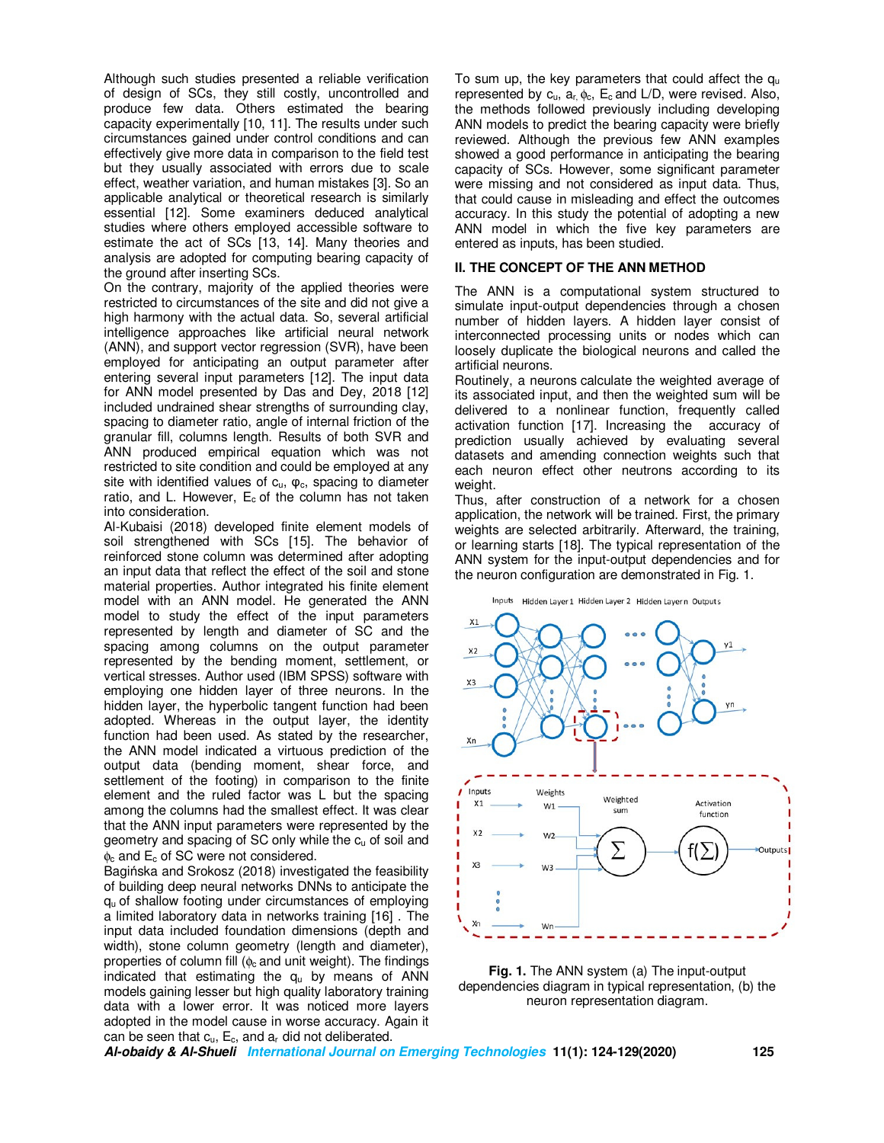Although such studies presented a reliable verification of design of SCs, they still costly, uncontrolled and produce few data. Others estimated the bearing capacity experimentally [10, 11]. The results under such circumstances gained under control conditions and can effectively give more data in comparison to the field test but they usually associated with errors due to scale effect, weather variation, and human mistakes [3]. So an applicable analytical or theoretical research is similarly essential [12]. Some examiners deduced analytical studies where others employed accessible software to estimate the act of SCs [13, 14]. Many theories and analysis are adopted for computing bearing capacity of the ground after inserting SCs.

On the contrary, majority of the applied theories were restricted to circumstances of the site and did not give a high harmony with the actual data. So, several artificial intelligence approaches like artificial neural network (ANN), and support vector regression (SVR), have been employed for anticipating an output parameter after entering several input parameters [12]. The input data for ANN model presented by Das and Dey, 2018 [12] included undrained shear strengths of surrounding clay, spacing to diameter ratio, angle of internal friction of the granular fill, columns length. Results of both SVR and ANN produced empirical equation which was not restricted to site condition and could be employed at any site with identified values of  $c<sub>u</sub>$ ,  $\varphi<sub>c</sub>$ , spacing to diameter ratio, and L. However,  $E_c$  of the column has not taken into consideration.

Al-Kubaisi (2018) developed finite element models of soil strengthened with SCs [15]. The behavior of reinforced stone column was determined after adopting an input data that reflect the effect of the soil and stone material properties. Author integrated his finite element model with an ANN model. He generated the ANN model to study the effect of the input parameters represented by length and diameter of SC and the spacing among columns on the output parameter represented by the bending moment, settlement, or vertical stresses. Author used (IBM SPSS) software with employing one hidden layer of three neurons. In the hidden layer, the hyperbolic tangent function had been adopted. Whereas in the output layer, the identity function had been used. As stated by the researcher, the ANN model indicated a virtuous prediction of the output data (bending moment, shear force, and settlement of the footing) in comparison to the finite element and the ruled factor was L but the spacing among the columns had the smallest effect. It was clear that the ANN input parameters were represented by the geometry and spacing of SC only while the c<sub>u</sub> of soil and  $\phi_c$  and  $E_c$  of SC were not considered.

Bagińska and Srokosz (2018) investigated the feasibility of building deep neural networks DNNs to anticipate the qu of shallow footing under circumstances of employing a limited laboratory data in networks training [16] . The input data included foundation dimensions (depth and width), stone column geometry (length and diameter), properties of column fill ( $\phi_c$  and unit weight). The findings indicated that estimating the  $q<sub>u</sub>$  by means of ANN models gaining lesser but high quality laboratory training data with a lower error. It was noticed more layers adopted in the model cause in worse accuracy. Again it can be seen that  $c_u$ ,  $E_c$ , and  $a_r$  did not deliberated.

To sum up, the key parameters that could affect the  $q_u$ represented by  $c_u$ ,  $a_r$ ,  $\phi_c$ ,  $E_c$  and L/D, were revised. Also, the methods followed previously including developing ANN models to predict the bearing capacity were briefly reviewed. Although the previous few ANN examples showed a good performance in anticipating the bearing capacity of SCs. However, some significant parameter were missing and not considered as input data. Thus, that could cause in misleading and effect the outcomes accuracy. In this study the potential of adopting a new ANN model in which the five key parameters are entered as inputs, has been studied.

## **II. THE CONCEPT OF THE ANN METHOD**

The ANN is a computational system structured to simulate input-output dependencies through a chosen number of hidden layers. A hidden layer consist of interconnected processing units or nodes which can loosely duplicate the biological neurons and called the artificial neurons.

Routinely, a neurons calculate the weighted average of its associated input, and then the weighted sum will be delivered to a nonlinear function, frequently called activation function [17]. Increasing the accuracy of prediction usually achieved by evaluating several datasets and amending connection weights such that each neuron effect other neutrons according to its weight.

Thus, after construction of a network for a chosen application, the network will be trained. First, the primary weights are selected arbitrarily. Afterward, the training, or learning starts [18]. The typical representation of the ANN system for the input-output dependencies and for the neuron configuration are demonstrated in Fig. 1.



**Fig. 1.** The ANN system (a) The input-output dependencies diagram in typical representation, (b) the neuron representation diagram.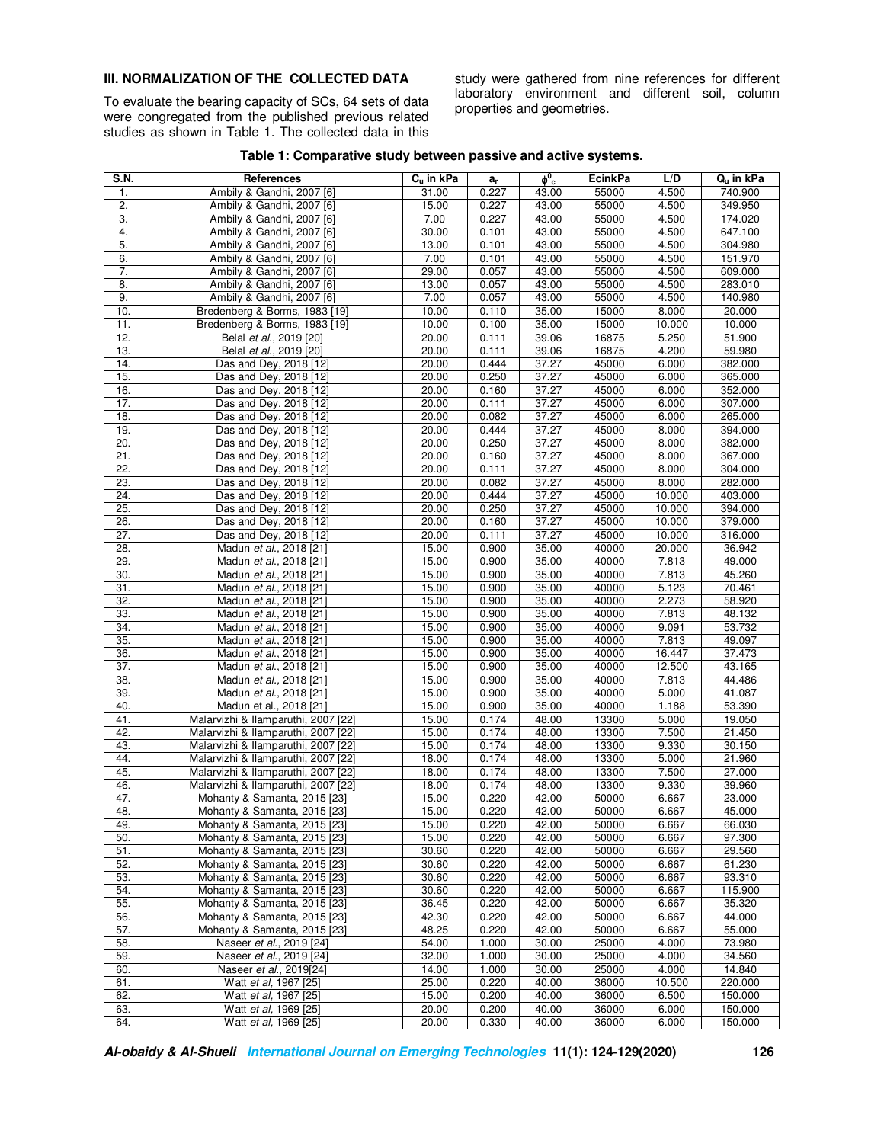# **III. NORMALIZATION OF THE COLLECTED DATA**

To evaluate the bearing capacity of SCs, 64 sets of data were congregated from the published previous related studies as shown in Table 1. The collected data in this study were gathered from nine references for different laboratory environment and different soil, column properties and geometries.

| Table 1: Comparative study between passive and active systems. |
|----------------------------------------------------------------|
|----------------------------------------------------------------|

| S.N.              | References                                         | C <sub>u</sub> in kPa | $a_{r}$        | $\phi_0$       | <b>EcinkPa</b> | L/D            | Q <sub>u</sub> in kPa |
|-------------------|----------------------------------------------------|-----------------------|----------------|----------------|----------------|----------------|-----------------------|
| 1.                | Ambily & Gandhi, 2007 [6]                          | 31.00                 | 0.227          | 43.00          | 55000          | 4.500          | 740.900               |
| $\overline{2}$ .  | Ambily & Gandhi, 2007 [6]                          | 15.00                 | 0.227          | 43.00          | 55000          | 4.500          | 349.950               |
| 3.                | Ambily & Gandhi, 2007 [6]                          | 7.00                  | 0.227          | 43.00          | 55000          | 4.500          | 174.020               |
| 4.                | Ambily & Gandhi, 2007 [6]                          | 30.00                 | 0.101          | 43.00          | 55000          | 4.500          | 647.100               |
| 5.                | Ambily & Gandhi, 2007 [6]                          | 13.00                 | 0.101          | 43.00          | 55000          | 4.500          | 304.980               |
| 6.                | Ambily & Gandhi, 2007 [6]                          | 7.00                  | 0.101          | 43.00          | 55000          | 4.500          | 151.970               |
| 7.                | Ambily & Gandhi, 2007 [6]                          | 29.00                 | 0.057          | 43.00          | 55000          | 4.500          | 609.000               |
| 8.                | Ambily & Gandhi, 2007 [6]                          | 13.00                 | 0.057          | 43.00          | 55000          | 4.500          | 283.010               |
| 9.                | Ambily & Gandhi, 2007 [6]                          | 7.00                  | 0.057          | 43.00          | 55000          | 4.500          | 140.980               |
| 10.               | Bredenberg & Borms, 1983 [19]                      | 10.00                 | 0.110          | 35.00          | 15000          | 8.000          | 20.000                |
| 11.               | Bredenberg & Borms, 1983 [19]                      | 10.00                 | 0.100          | 35.00          | 15000          | 10.000         | 10.000                |
| 12.               | Belal et al., 2019 [20]                            | 20.00                 | 0.111          | 39.06          | 16875          | 5.250          | 51.900                |
| 13.               | Belal et al., 2019 [20]                            | 20.00                 | 0.111          | 39.06          | 16875          | 4.200          | 59.980                |
| 14.               | Das and Dev, 2018 [12]                             | 20.00                 | 0.444          | 37.27          | 45000          | 6.000          | 382.000               |
| 15.               | Das and Dey, 2018 [12]                             | 20.00                 | 0.250          | 37.27          | 45000          | 6.000          | 365.000               |
| 16.               | Das and Dey, 2018 [12]                             | 20.00                 | 0.160          | 37.27          | 45000          | 6.000          | 352.000               |
| 17.               | Das and Dey, 2018 [12]                             | 20.00                 | 0.111          | 37.27          | 45000          | 6.000          | 307.000               |
| 18.               | Das and Dey, 2018 [12]                             | 20.00                 | 0.082          | 37.27          | 45000          | 6.000          | 265.000               |
| 19.               | Das and Dey, 2018 [12]                             | 20.00                 | 0.444          | 37.27          | 45000          | 8.000          | 394.000               |
| 20.               | Das and Dey, 2018 [12]                             | 20.00                 | 0.250          | 37.27          | 45000          | 8.000          | 382.000               |
| 21.               | Das and Dey, 2018 [12]                             | 20.00                 | 0.160          | 37.27          | 45000          | 8.000          | 367.000               |
| $\overline{22}$ . | Das and Dey, 2018 [12]                             | 20.00                 | 0.111          | 37.27          | 45000          | 8.000          | 304.000               |
| 23.               | Das and Dey, 2018 [12]                             | 20.00                 | 0.082          | 37.27          | 45000          | 8.000          | 282.000               |
| 24.               | Das and Dey, 2018 [12]                             | 20.00                 | 0.444          | 37.27          | 45000          | 10.000         | 403.000               |
| 25.               | Das and Dey, 2018 [12]                             | 20.00                 | 0.250          | 37.27          | 45000          | 10.000         | 394.000               |
| 26.               | Das and Dey, 2018 [12]                             | 20.00                 | 0.160          | 37.27          | 45000          | 10.000         | 379.000               |
| 27.               | Das and Dey, 2018 [12]                             | 20.00                 | 0.111          | 37.27          | 45000          | 10.000         | 316.000               |
| 28.               | Madun et al., 2018 [21]                            | 15.00                 | 0.900          | 35.00          | 40000          | 20.000         | 36.942                |
| 29.               | Madun et al., 2018 [21]                            | 15.00                 | 0.900          | 35.00          | 40000          | 7.813          | 49.000                |
| 30.               | Madun et al., 2018 [21]                            | 15.00                 | 0.900          | 35.00          | 40000          | 7.813          | 45.260                |
| 31.               | Madun et al., 2018 [21]                            | 15.00                 | 0.900          | 35.00          | 40000          | 5.123          | 70.461                |
| 32.               | Madun et al., 2018 [21]                            | 15.00                 | 0.900          | 35.00          | 40000          | 2.273          | 58.920                |
| 33.<br>34.        | Madun et al., 2018 [21]<br>Madun et al., 2018 [21] | 15.00<br>15.00        | 0.900<br>0.900 | 35.00<br>35.00 | 40000<br>40000 | 7.813<br>9.091 | 48.132<br>53.732      |
| 35.               | Madun et al., 2018 [21]                            | 15.00                 | 0.900          | 35.00          | 40000          | 7.813          | 49.097                |
| 36.               | Madun et al., 2018 [21]                            | 15.00                 | 0.900          | 35.00          | 40000          | 16.447         | 37.473                |
| 37.               | Madun et al., 2018 [21]                            | 15.00                 | 0.900          | 35.00          | 40000          | 12.500         | 43.165                |
| 38.               | Madun et al., 2018 [21]                            | 15.00                 | 0.900          | 35.00          | 40000          | 7.813          | 44.486                |
| 39.               | Madun et al., 2018 [21]                            | 15.00                 | 0.900          | 35.00          | 40000          | 5.000          | 41.087                |
| 40.               | Madun et al., 2018 [21]                            | 15.00                 | 0.900          | 35.00          | 40000          | 1.188          | 53.390                |
| 41.               | Malarvizhi & Ilamparuthi, 2007 [22]                | 15.00                 | 0.174          | 48.00          | 13300          | 5.000          | 19.050                |
| 42.               | Malarvizhi & llamparuthi, 2007 [22]                | 15.00                 | 0.174          | 48.00          | 13300          | 7.500          | 21.450                |
| 43.               | Malarvizhi & Ilamparuthi, 2007 [22]                | 15.00                 | 0.174          | 48.00          | 13300          | 9.330          | 30.150                |
| 44.               | Malarvizhi & Ilamparuthi, 2007 [22]                | 18.00                 | 0.174          | 48.00          | 13300          | 5.000          | 21.960                |
| 45.               | Malarvizhi & Ilamparuthi, 2007 [22]                | 18.00                 | 0.174          | 48.00          | 13300          | 7.500          | 27.000                |
| 46.               | Malarvizhi & Ilamparuthi, 2007 [22]                | 18.00                 | 0.174          | 48.00          | 13300          | 9.330          | 39.960                |
| 47.               | Mohanty & Samanta, 2015 [23]                       | 15.00                 | 0.220          | 42.00          | 50000          | 6.667          | 23.000                |
| 48.               | Mohanty & Samanta, 2015 [23]                       | 15.00                 | 0.220          | 42.00          | 50000          | 6.667          | 45.000                |
| 49.               | Mohanty & Samanta, 2015 [23]                       | 15.00                 | 0.220          | 42.00          | 50000          | 6.667          | 66.030                |
| 50.               | Mohanty & Samanta, 2015 [23]                       | 15.00                 | 0.220          | 42.00          | 50000          | 6.667          | 97.300                |
| 51.               | Mohanty & Samanta, 2015 [23]                       | 30.60                 | 0.220          | 42.00          | 50000          | 6.667          | 29.560                |
| 52.               | Mohanty & Samanta, 2015 [23]                       | 30.60                 | 0.220          | 42.00          | 50000          | 6.667          | 61.230                |
| 53.               | Mohanty & Samanta, 2015 [23]                       | 30.60                 | 0.220          | 42.00          | 50000          | 6.667          | 93.310                |
| 54.               | Mohanty & Samanta, 2015 [23]                       | 30.60                 | 0.220          | 42.00          | 50000          | 6.667          | 115.900               |
| 55.               | Mohanty & Samanta, 2015 [23]                       | 36.45                 | 0.220          | 42.00          | 50000          | 6.667          | 35.320                |
| 56.               | Mohanty & Samanta, 2015 [23]                       | 42.30                 | 0.220          | 42.00          | 50000          | 6.667          | 44.000                |
| 57.               | Mohanty & Samanta, 2015 [23]                       | 48.25                 | 0.220          | 42.00          | 50000          | 6.667          | 55.000                |
| 58.               | Naseer et al., 2019 [24]                           | 54.00                 | 1.000          | 30.00          | 25000          | 4.000          | 73.980                |
| 59.               | Naseer et al., 2019 [24]                           | 32.00                 | 1.000          | 30.00          | 25000          | 4.000          | 34.560                |
| 60.               | Naseer et al., 2019[24]                            | 14.00                 | 1.000          | 30.00          | 25000          | 4.000          | 14.840                |
| 61.               | Watt et al, 1967 [25]                              | 25.00                 | 0.220          | 40.00          | 36000          | 10.500         | 220.000               |
| 62.               | Watt et al, 1967 [25]                              | 15.00                 | 0.200          | 40.00          | 36000          | 6.500          | 150.000               |
| 63.               | Watt et al, 1969 [25]                              | 20.00                 | 0.200          | 40.00          | 36000          | 6.000          | 150.000               |
| 64.               | Watt et al, 1969 [25]                              | 20.00                 | 0.330          | 40.00          | 36000          | 6.000          | 150.000               |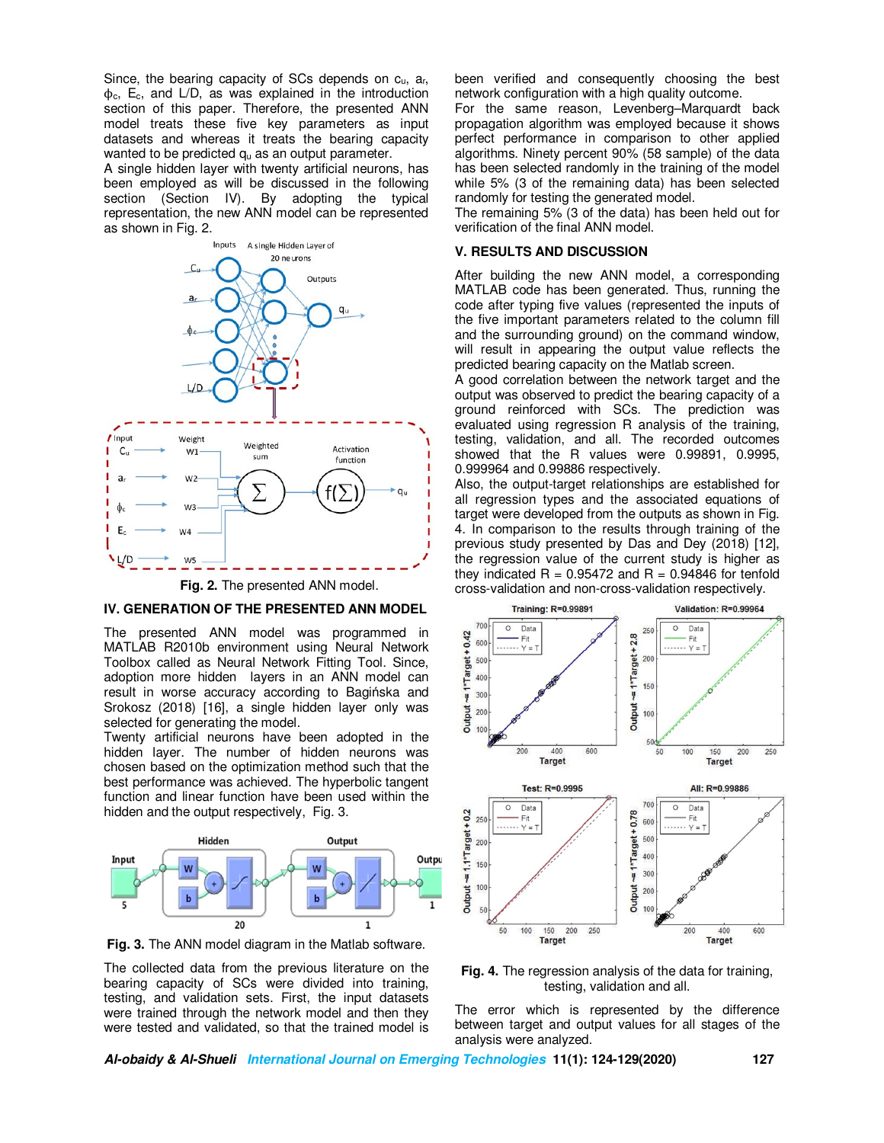Since, the bearing capacity of SCs depends on  $c_u$ ,  $a_r$ ,  $\phi_c$ , E<sub>c</sub>, and L/D, as was explained in the introduction section of this paper. Therefore, the presented ANN model treats these five key parameters as input datasets and whereas it treats the bearing capacity wanted to be predicted  $q_u$  as an output parameter.

A single hidden layer with twenty artificial neurons, has been employed as will be discussed in the following section (Section IV). By adopting the typical representation, the new ANN model can be represented as shown in Fig. 2.



**Fig. 2.** The presented ANN model.

#### **IV. GENERATION OF THE PRESENTED ANN MODEL**

The presented ANN model was programmed in MATLAB R2010b environment using Neural Network Toolbox called as Neural Network Fitting Tool. Since, adoption more hidden layers in an ANN model can result in worse accuracy according to Bagińska and Srokosz (2018) [16], a single hidden layer only was selected for generating the model.

Twenty artificial neurons have been adopted in the hidden layer. The number of hidden neurons was chosen based on the optimization method such that the best performance was achieved. The hyperbolic tangent function and linear function have been used within the hidden and the output respectively, Fig. 3.



**Fig. 3.** The ANN model diagram in the Matlab software.

The collected data from the previous literature on the bearing capacity of SCs were divided into training, testing, and validation sets. First, the input datasets were trained through the network model and then they were tested and validated, so that the trained model is

been verified and consequently choosing the best network configuration with a high quality outcome.

For the same reason, Levenberg–Marquardt back propagation algorithm was employed because it shows perfect performance in comparison to other applied algorithms. Ninety percent 90% (58 sample) of the data has been selected randomly in the training of the model while 5% (3 of the remaining data) has been selected randomly for testing the generated model.

The remaining 5% (3 of the data) has been held out for verification of the final ANN model.

#### **V. RESULTS AND DISCUSSION**

After building the new ANN model, a corresponding MATLAB code has been generated. Thus, running the code after typing five values (represented the inputs of the five important parameters related to the column fill and the surrounding ground) on the command window, will result in appearing the output value reflects the predicted bearing capacity on the Matlab screen.

A good correlation between the network target and the output was observed to predict the bearing capacity of a ground reinforced with SCs. The prediction was evaluated using regression R analysis of the training, testing, validation, and all. The recorded outcomes showed that the R values were 0.99891, 0.9995, 0.999964 and 0.99886 respectively.

Also, the output-target relationships are established for all regression types and the associated equations of target were developed from the outputs as shown in Fig. 4. In comparison to the results through training of the previous study presented by Das and Dey (2018) [12], the regression value of the current study is higher as they indicated  $R = 0.95472$  and  $R = 0.94846$  for tenfold cross-validation and non-cross-validation respectively.



**Fig. 4.** The regression analysis of the data for training, testing, validation and all.

The error which is represented by the difference between target and output values for all stages of the analysis were analyzed.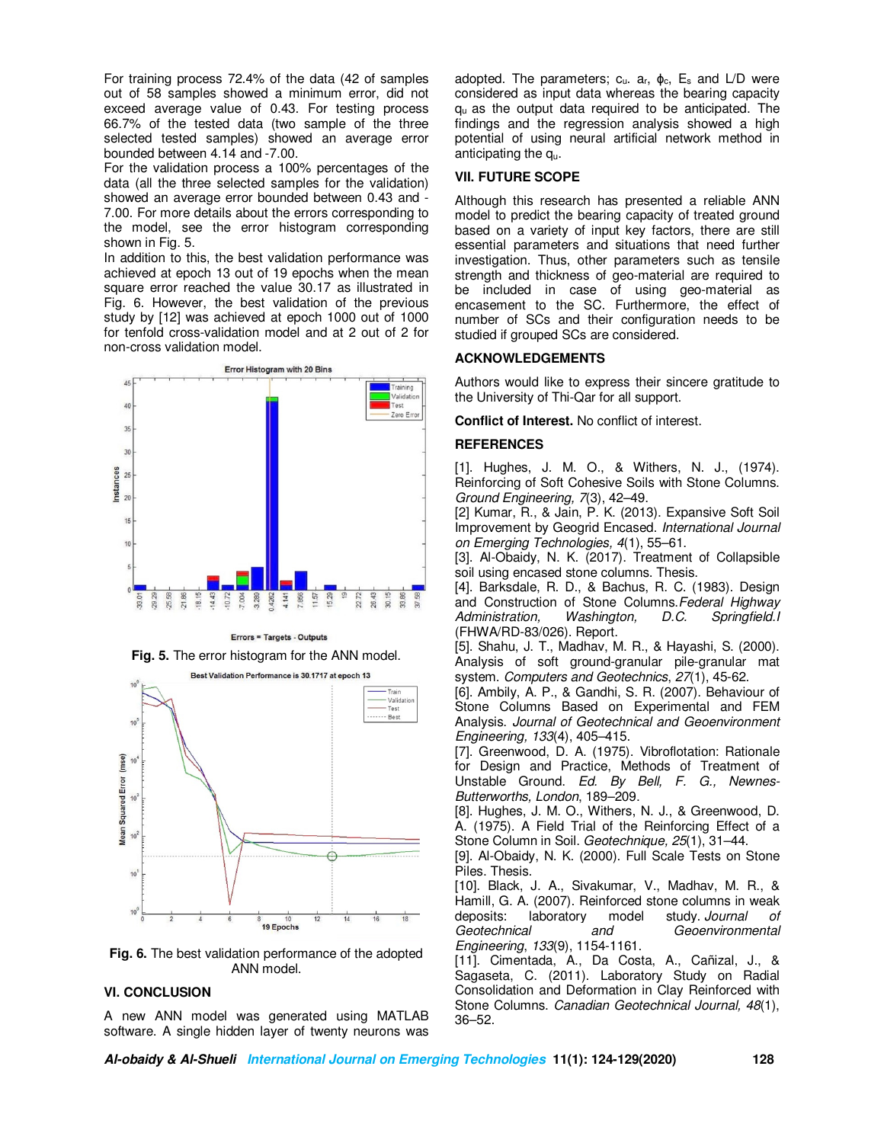For training process 72.4% of the data (42 of samples out of 58 samples showed a minimum error, did not exceed average value of 0.43. For testing process 66.7% of the tested data (two sample of the three selected tested samples) showed an average error bounded between 4.14 and -7.00.

For the validation process a 100% percentages of the data (all the three selected samples for the validation) showed an average error bounded between 0.43 and - 7.00. For more details about the errors corresponding to the model, see the error histogram corresponding shown in Fig. 5.

In addition to this, the best validation performance was achieved at epoch 13 out of 19 epochs when the mean square error reached the value 30.17 as illustrated in Fig. 6. However, the best validation of the previous study by [12] was achieved at epoch 1000 out of 1000 for tenfold cross-validation model and at 2 out of 2 for non-cross validation model.



Errors = Targets - Outputs

**Fig. 5.** The error histogram for the ANN model.



**Fig. 6.** The best validation performance of the adopted ANN model.

### **VI. CONCLUSION**

A new ANN model was generated using MATLAB software. A single hidden layer of twenty neurons was adopted. The parameters;  $c_u$ . a<sub>r</sub>,  $\phi_c$ ,  $E_s$  and  $L/D$  were considered as input data whereas the bearing capacity qu as the output data required to be anticipated. The findings and the regression analysis showed a high potential of using neural artificial network method in anticipating the qu.

#### **VII. FUTURE SCOPE**

Although this research has presented a reliable ANN model to predict the bearing capacity of treated ground based on a variety of input key factors, there are still essential parameters and situations that need further investigation. Thus, other parameters such as tensile strength and thickness of geo-material are required to be included in case of using geo-material as encasement to the SC. Furthermore, the effect of number of SCs and their configuration needs to be studied if grouped SCs are considered.

#### **ACKNOWLEDGEMENTS**

Authors would like to express their sincere gratitude to the University of Thi-Qar for all support.

**Conflict of Interest.** No conflict of interest.

### **REFERENCES**

[1]. Hughes, J. M. O., & Withers, N. J., (1974). Reinforcing of Soft Cohesive Soils with Stone Columns. *Ground Engineering, 7*(3), 42–49.

[2] Kumar, R., & Jain, P. K. (2013). Expansive Soft Soil Improvement by Geogrid Encased. *International Journal on Emerging Technologies, 4*(1), 55–61.

[3]. Al-Obaidy, N. K. (2017). Treatment of Collapsible soil using encased stone columns. Thesis.

[4]. Barksdale, R. D., & Bachus, R. C. (1983). Design and Construction of Stone Columns.*Federal Highway Administration,* (FHWA/RD-83/026). Report.

[5]. Shahu, J. T., Madhav, M. R., & Hayashi, S. (2000). Analysis of soft ground-granular pile-granular mat system. *Computers and Geotechnics*, *27*(1), 45-62.

[6]. Ambily, A. P., & Gandhi, S. R. (2007). Behaviour of Stone Columns Based on Experimental and FEM Analysis. *Journal of Geotechnical and Geoenvironment Engineering, 133*(4), 405–415.

[7]. Greenwood, D. A. (1975). Vibroflotation: Rationale for Design and Practice, Methods of Treatment of Unstable Ground. *Ed. By Bell, F. G., Newnes-Butterworths, London*, 189–209.

[8]. Hughes, J. M. O., Withers, N. J., & Greenwood, D. A. (1975). A Field Trial of the Reinforcing Effect of a Stone Column in Soil. *Geotechnique, 25*(1), 31–44.

[9]. Al-Obaidy, N. K. (2000). Full Scale Tests on Stone Piles. Thesis.

[10]. Black, J. A., Sivakumar, V., Madhav, M. R., & Hamill, G. A. (2007). Reinforced stone columns in weak deposits: laboratory model study. *Journal of*   $Geoenvironmental$ *Engineering*, *133*(9), 1154-1161.

[11]. Cimentada, A., Da Costa, A., Cañizal, J., & Sagaseta, C. (2011). Laboratory Study on Radial Consolidation and Deformation in Clay Reinforced with Stone Columns. *Canadian Geotechnical Journal, 48*(1), 36–52.